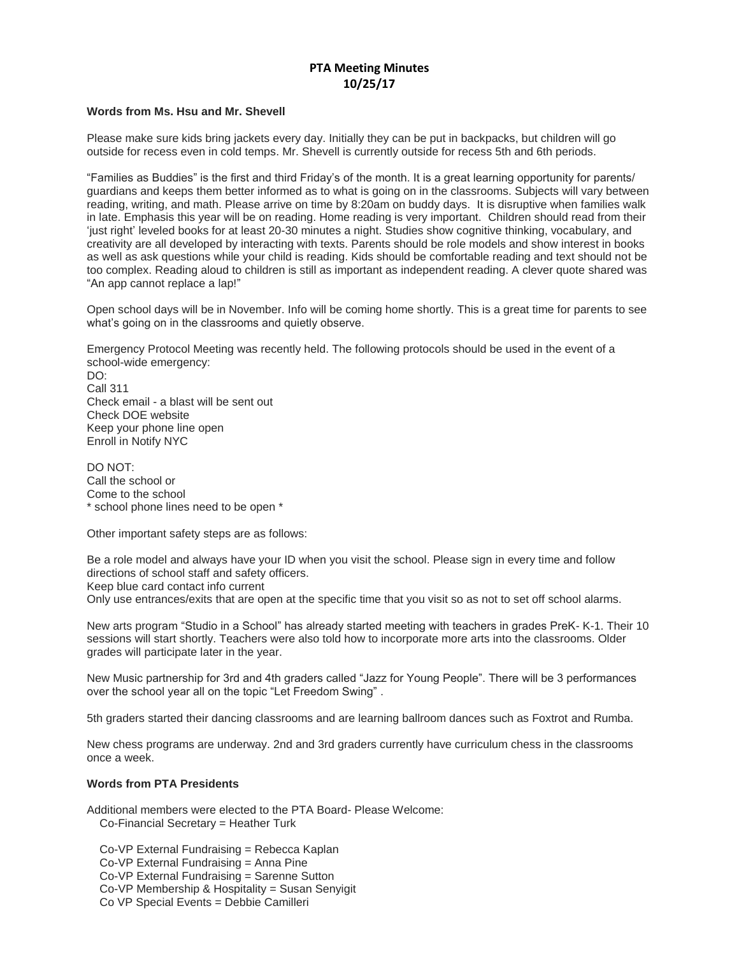## **PTA Meeting Minutes 10/25/17**

## **Words from Ms. Hsu and Mr. Shevell**

Please make sure kids bring jackets every day. Initially they can be put in backpacks, but children will go outside for recess even in cold temps. Mr. Shevell is currently outside for recess 5th and 6th periods.

"Families as Buddies" is the first and third Friday's of the month. It is a great learning opportunity for parents/ guardians and keeps them better informed as to what is going on in the classrooms. Subjects will vary between reading, writing, and math. Please arrive on time by 8:20am on buddy days. It is disruptive when families walk in late. Emphasis this year will be on reading. Home reading is very important. Children should read from their 'just right' leveled books for at least 20-30 minutes a night. Studies show cognitive thinking, vocabulary, and creativity are all developed by interacting with texts. Parents should be role models and show interest in books as well as ask questions while your child is reading. Kids should be comfortable reading and text should not be too complex. Reading aloud to children is still as important as independent reading. A clever quote shared was "An app cannot replace a lap!"

Open school days will be in November. Info will be coming home shortly. This is a great time for parents to see what's going on in the classrooms and quietly observe.

Emergency Protocol Meeting was recently held. The following protocols should be used in the event of a school-wide emergency:

DO: Call 311 Check email - a blast will be sent out Check DOE website Keep your phone line open Enroll in Notify NYC

DO NOT: Call the school or Come to the school \* school phone lines need to be open \*

Other important safety steps are as follows:

Be a role model and always have your ID when you visit the school. Please sign in every time and follow directions of school staff and safety officers. Keep blue card contact info current Only use entrances/exits that are open at the specific time that you visit so as not to set off school alarms.

New arts program "Studio in a School" has already started meeting with teachers in grades PreK- K-1. Their 10 sessions will start shortly. Teachers were also told how to incorporate more arts into the classrooms. Older grades will participate later in the year.

New Music partnership for 3rd and 4th graders called "Jazz for Young People". There will be 3 performances over the school year all on the topic "Let Freedom Swing" .

5th graders started their dancing classrooms and are learning ballroom dances such as Foxtrot and Rumba.

New chess programs are underway. 2nd and 3rd graders currently have curriculum chess in the classrooms once a week.

## **Words from PTA Presidents**

Additional members were elected to the PTA Board- Please Welcome: Co-Financial Secretary = Heather Turk

Co-VP External Fundraising = Rebecca Kaplan

Co-VP External Fundraising = Anna Pine

Co-VP External Fundraising = Sarenne Sutton

Co-VP Membership & Hospitality = Susan Senyigit

Co VP Special Events = Debbie Camilleri